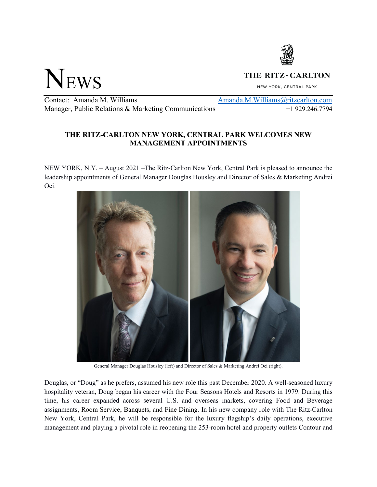

NEWS

## THE RITZ - CARLTON

NEW YORK, CENTRAL PARK

Contact: Amanda M. Williams Amanda.M. Williams Amanda.M. Williams aritzcarlton.com Manager, Public Relations & Marketing Communications  $+1$  929.246.7794

## **THE RITZ-CARLTON NEW YORK, CENTRAL PARK WELCOMES NEW MANAGEMENT APPOINTMENTS**

NEW YORK, N.Y. – August 2021 –The Ritz-Carlton New York, Central Park is pleased to announce the leadership appointments of General Manager Douglas Housley and Director of Sales & Marketing Andrei Oei.



General Manager Douglas Housley (left) and Director of Sales & Marketing Andrei Oei (right).

Douglas, or "Doug" as he prefers, assumed his new role this past December 2020. A well-seasoned luxury hospitality veteran, Doug began his career with the Four Seasons Hotels and Resorts in 1979. During this time, his career expanded across several U.S. and overseas markets, covering Food and Beverage assignments, Room Service, Banquets, and Fine Dining. In his new company role with The Ritz-Carlton New York, Central Park, he will be responsible for the luxury flagship's daily operations, executive management and playing a pivotal role in reopening the 253-room hotel and property outlets Contour and